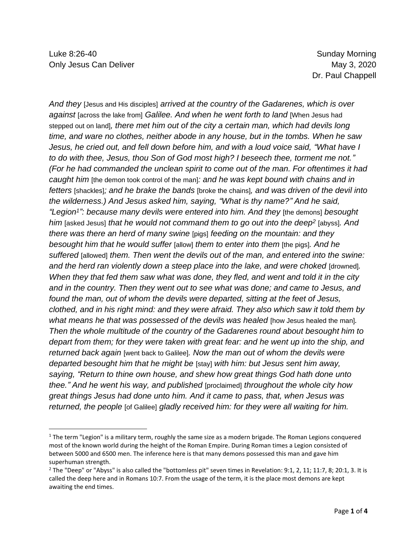*And they* [Jesus and His disciples] *arrived at the country of the Gadarenes, which is over against* [across the lake from] *Galilee. And when he went forth to land* [When Jesus had stepped out on land]*, there met him out of the city a certain man, which had devils long time, and ware no clothes, neither abode in any house, but in the tombs. When he saw*  Jesus, he cried out, and fell down before him, and with a loud voice said, "What have I *to do with thee, Jesus, thou Son of God most high? I beseech thee, torment me not." (For he had commanded the unclean spirit to come out of the man. For oftentimes it had caught him* [the demon took control of the man]*: and he was kept bound with chains and in fetters* [shackles]*; and he brake the bands* [broke the chains]*, and was driven of the devil into the wilderness.) And Jesus asked him, saying, "What is thy name?" And he said, "Legion<sup>1</sup> ": because many devils were entered into him. And they* [the demons] *besought him* [asked Jesus] *that he would not command them to go out into the deep<sup>2</sup>* [abyss]*. And there was there an herd of many swine* [pigs] *feeding on the mountain: and they besought him that he would suffer* [allow] *them to enter into them* [the pigs]*. And he suffered* [allowed] *them. Then went the devils out of the man, and entered into the swine: and the herd ran violently down a steep place into the lake, and were choked* [drowned]*. When they that fed them saw what was done, they fled, and went and told it in the city and in the country. Then they went out to see what was done; and came to Jesus, and found the man, out of whom the devils were departed, sitting at the feet of Jesus, clothed, and in his right mind: and they were afraid. They also which saw it told them by what means he that was possessed of the devils was healed* [how Jesus healed the man]*. Then the whole multitude of the country of the Gadarenes round about besought him to depart from them; for they were taken with great fear: and he went up into the ship, and returned back again* [went back to Galilee]*. Now the man out of whom the devils were departed besought him that he might be* [stay] *with him: but Jesus sent him away, saying, "Return to thine own house, and shew how great things God hath done unto thee." And he went his way, and published* [proclaimed] *throughout the whole city how great things Jesus had done unto him. And it came to pass, that, when Jesus was returned, the people* [of Galilee] *gladly received him: for they were all waiting for him.*

 $1$  The term "Legion" is a military term, roughly the same size as a modern brigade. The Roman Legions conquered most of the known world during the height of the Roman Empire. During Roman times a Legion consisted of between 5000 and 6500 men. The inference here is that many demons possessed this man and gave him superhuman strength.

 $2$  The "Deep" or "Abyss" is also called the "bottomless pit" seven times in Revelation: 9:1, 2, 11; 11:7, 8; 20:1, 3. It is called the deep here and in Romans 10:7. From the usage of the term, it is the place most demons are kept awaiting the end times.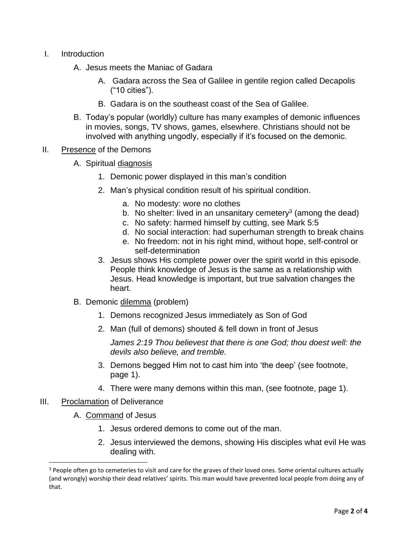- I. Introduction
	- A. Jesus meets the Maniac of Gadara
		- A. Gadara across the Sea of Galilee in gentile region called Decapolis ("10 cities").
		- B. Gadara is on the southeast coast of the Sea of Galilee.
	- B. Today's popular (worldly) culture has many examples of demonic influences in movies, songs, TV shows, games, elsewhere. Christians should not be involved with anything ungodly, especially if it's focused on the demonic.
- II. Presence of the Demons
	- A. Spiritual diagnosis
		- 1. Demonic power displayed in this man's condition
		- 2. Man's physical condition result of his spiritual condition.
			- a. No modesty: wore no clothes
			- b. No shelter: lived in an unsanitary cemetery<sup>3</sup> (among the dead)
			- c. No safety: harmed himself by cutting, see Mark 5:5
			- d. No social interaction: had superhuman strength to break chains
			- e. No freedom: not in his right mind, without hope, self-control or self-determination
		- 3. Jesus shows His complete power over the spirit world in this episode. People think knowledge of Jesus is the same as a relationship with Jesus. Head knowledge is important, but true salvation changes the heart.
	- B. Demonic dilemma (problem)
		- 1. Demons recognized Jesus immediately as Son of God
		- 2. Man (full of demons) shouted & fell down in front of Jesus

*James 2:19 Thou believest that there is one God; thou doest well: the devils also believe, and tremble.*

- 3. Demons begged Him not to cast him into 'the deep' (see footnote, page 1).
- 4. There were many demons within this man, (see footnote, page 1).
- III. Proclamation of Deliverance
	- A. Command of Jesus
		- 1. Jesus ordered demons to come out of the man.
		- 2. Jesus interviewed the demons, showing His disciples what evil He was dealing with.

<sup>&</sup>lt;sup>3</sup> People often go to cemeteries to visit and care for the graves of their loved ones. Some oriental cultures actually (and wrongly) worship their dead relatives' spirits. This man would have prevented local people from doing any of that.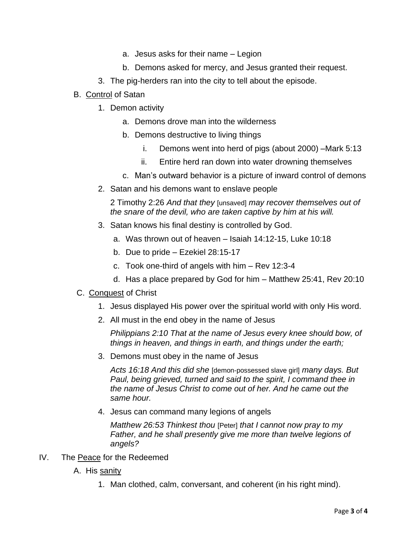- a. Jesus asks for their name Legion
- b. Demons asked for mercy, and Jesus granted their request.
- 3. The pig-herders ran into the city to tell about the episode.
- B. Control of Satan
	- 1. Demon activity
		- a. Demons drove man into the wilderness
		- b. Demons destructive to living things
			- i. Demons went into herd of pigs (about 2000) –Mark 5:13
			- ii. Entire herd ran down into water drowning themselves
		- c. Man's outward behavior is a picture of inward control of demons
	- 2. Satan and his demons want to enslave people

2 Timothy 2:26 *And that they* [unsaved] *may recover themselves out of the snare of the devil, who are taken captive by him at his will.*

- 3. Satan knows his final destiny is controlled by God.
	- a. Was thrown out of heaven Isaiah 14:12-15, Luke 10:18
	- b. Due to pride Ezekiel 28:15-17
	- c. Took one-third of angels with him Rev 12:3-4
	- d. Has a place prepared by God for him Matthew 25:41, Rev 20:10
- C. Conquest of Christ
	- 1. Jesus displayed His power over the spiritual world with only His word.
	- 2. All must in the end obey in the name of Jesus

*Philippians 2:10 That at the name of Jesus every knee should bow, of things in heaven, and things in earth, and things under the earth;*

3. Demons must obey in the name of Jesus

*Acts 16:18 And this did she* [demon-possessed slave girl] *many days. But Paul, being grieved, turned and said to the spirit, I command thee in the name of Jesus Christ to come out of her. And he came out the same hour.*

4. Jesus can command many legions of angels

*Matthew 26:53 Thinkest thou* [Peter] *that I cannot now pray to my Father, and he shall presently give me more than twelve legions of angels?*

- IV. The Peace for the Redeemed
	- A. His sanity
		- 1. Man clothed, calm, conversant, and coherent (in his right mind).